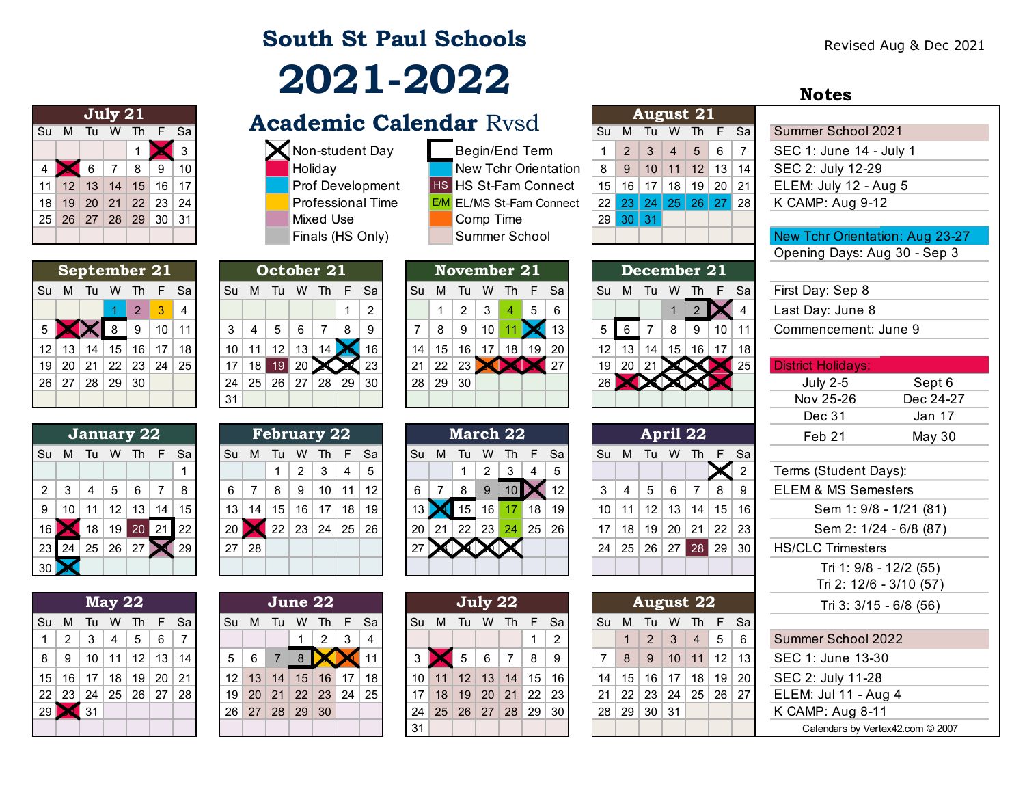## **South St Paul Schools 2021-2022**

|                |                 |    | July 21        |                |     |    |
|----------------|-----------------|----|----------------|----------------|-----|----|
| Su             | M               | Tu | W              | Th             | -F  | Sa |
|                |                 |    |                |                |     | 3  |
| $\overline{4}$ |                 | 6  | $\overline{7}$ | 8              | 9   | 10 |
| 11             | 12 <sup>°</sup> | 13 | $\vert$ 14     | 15             | 16  | 17 |
| 18             |                 |    |                | 19 20 21 22 23 |     | 24 |
| 25             | 26 27 28 29     |    |                |                | -30 | 31 |
|                |                 |    |                |                |     |    |

|    |         |                         | September 21        |    |                 |                |
|----|---------|-------------------------|---------------------|----|-----------------|----------------|
| Su | M       | Tu                      | W                   | Th | F               | Sa             |
|    |         |                         |                     | 2  | - 3             | $\overline{4}$ |
| 5  |         | $ \boldsymbol{\times} $ | $\blacksquare$ 8    | ∣9 | 10 <sup>°</sup> | 11             |
|    | $12$ 13 | 14                      | 15                  | 16 | 17              | 18             |
| 19 |         |                         | $20$   21   22   23 |    | 24              | 25             |
| 26 |         | $27 \mid 28 \mid 29$    |                     | 30 |                 |                |
|    |         |                         |                     |    |                 |                |

|                |    |    |              | January 22 |      |    |
|----------------|----|----|--------------|------------|------|----|
| Su             | M  | Tu | W            | Th         | F    | Sa |
|                |    |    |              |            |      |    |
| $\overline{2}$ | 3  | 4  | 5            | 6          | 7    | 8  |
| 9              | 10 | 11 | 12           | 13         | 14   | 15 |
| 16             |    | 18 | 19           | 20         | 21 ا | 22 |
| 23             | 24 |    | $25 \mid 26$ | 27         |      | 29 |
| 30             |    |    |              |            |      |    |

|                 |                |    | <b>May 22</b>          |    |              |            |
|-----------------|----------------|----|------------------------|----|--------------|------------|
| Su              | М              | Tu | W                      | Th | $\mathbf{F}$ | Sa         |
| 1               | $\overline{2}$ | -3 | 4                      | 5  | 6            | 7          |
| 8               | 9              | 10 | 11   12   13           |    |              | $\vert$ 14 |
| 15 <sub>1</sub> |                |    | 16   17   18   19   20 |    |              | $\mid$ 21  |
|                 | $22 \mid 23$   | 24 | 25   26   27   28      |    |              |            |
| $\overline{29}$ |                | 31 |                        |    |              |            |
|                 |                |    |                        |    |              |            |

|                      |         | July $21$   |           |   |                      |  | <b>Academic Calendar Rysd</b> |                                 |     |          | <b>August 21</b>           |  |             |                       |
|----------------------|---------|-------------|-----------|---|----------------------|--|-------------------------------|---------------------------------|-----|----------|----------------------------|--|-------------|-----------------------|
|                      | Su M Tu | W           | <b>Th</b> |   | Sa                   |  |                               |                                 |     |          | Su M Tu W Th F Sa          |  |             | Summer School 2021    |
|                      |         |             |           |   |                      |  | <b>X</b> Non-student Day      | Begin/End Term                  |     |          | $2 \mid 3 \mid$            |  | 4 5 6 7     | SEC 1: June 14 - July |
| $4$ $\triangleright$ |         |             | 8         | 9 | 10 <sup>1</sup>      |  | Holiday                       | New Tchr Orientation            | 8 I |          | 9   10   11   12   13   14 |  |             | SEC 2: July 12-29     |
|                      |         | 11 12 13 14 |           |   | 15 16 17             |  | <b>Prof Development</b>       | <b>HS HS St-Fam Connect</b>     |     |          | $15$   16   17             |  | 18 19 20 21 | ELEM: July 12 - Aug ! |
|                      |         |             |           |   | 18 19 20 21 22 23 24 |  | <b>Professional Time</b>      | <b>E/M</b> EL/MS St-Fam Connect |     |          | 22 23 24 25 26 27 28       |  |             | K CAMP: Aug 9-12      |
|                      |         |             |           |   | 25 26 27 28 29 30 31 |  | Mixed Use                     | Comp Time                       |     | 29 30 31 |                            |  |             |                       |
|                      |         |             |           |   |                      |  | Finals (HS Only)              | Summer School                   |     |          |                            |  |             | New Tchr Orientation: |
|                      |         |             |           |   |                      |  |                               |                                 |     |          |                            |  |             |                       |

|                           |    |                 | December 21     |    |    |                 |                 |            |    | November 21 |    |                 |       |                 |               |                 |    |    | October 21      |      |                 |                 | September 21    |       |                 |                 |              |  |
|---------------------------|----|-----------------|-----------------|----|----|-----------------|-----------------|------------|----|-------------|----|-----------------|-------|-----------------|---------------|-----------------|----|----|-----------------|------|-----------------|-----------------|-----------------|-------|-----------------|-----------------|--------------|--|
| First Day: Sep 8          |    | F Sa            | Th.             | W  | Tu | M               | <b>Su</b>       | -Sa        | E. | Th          | W  | Tu              | м     | <b>Su</b>       | Th F Sa       |                 |    | W  | Tu              | M    | .Su             | F Sal           |                 | - Th  | <b>W</b>        | Tu              | Su M         |  |
| Last Day: June            |    |                 |                 |    |    |                 |                 | -6         | 5  | 4           | 3  | 2               |       |                 | $\mathcal{P}$ |                 |    |    |                 |      |                 | 4               |                 |       |                 |                 |              |  |
| Commencement              | 11 | 10 <sup>°</sup> | 9               | 8  |    | 6               |                 | $\vert$ 13 |    |             | 10 | 9               | 8     |                 | 9             | 8               |    | 6  | 5               | 4    | 3               | 11              | 10 <sup>1</sup> |       |                 |                 |              |  |
|                           | 18 | 17              | 16 <sup>1</sup> | 15 | 14 | 13 <sub>1</sub> | 12 <sup>2</sup> | -20        | 19 | 18          | 17 | 16              | 15    | 14              |               |                 |    |    | 12              | 11   | 10 <sup>1</sup> | 18              | 17              | 16    | 15 <sup>1</sup> | 14              | $12 \mid 13$ |  |
| <b>District Holidays:</b> | 25 |                 |                 |    |    | 20 <sup>1</sup> | 19 <sub>1</sub> | ▌27        |    |             |    | 23 <sub>1</sub> | 22    | 21              | 23            |                 |    |    |                 | 18 l | 17              | 25 <sup>1</sup> | $23$ 24         |       | 22 <sub>1</sub> | $\sqrt{21}$     | 19 20        |  |
| <b>July 2-5</b>           |    |                 |                 |    |    |                 |                 |            |    |             |    |                 | 29 30 | 28 <sup>1</sup> | ່ 30 I        | 29 <sup>1</sup> | 28 | 27 | 26 <sup>1</sup> | 25   | 24              |                 |                 | 29 30 |                 | 28 <sup>1</sup> | 26 27        |  |
| Nov 25-26                 |    |                 |                 |    |    |                 |                 |            |    |             |    |                 |       |                 |               |                 |    |    |                 |      | 31              |                 |                 |       |                 |                 |              |  |
|                           |    |                 |                 |    |    |                 |                 |            |    |             |    |                 |       |                 |               |                 |    |    |                 |      |                 |                 |                 |       |                 |                 |              |  |

|    |    |    |    | January 22 |    |           |    |    | <b>February 22</b> |    |    |    |             |    |    | March 22  |    |    |                |    |    |    |    |                 | April 22 |                 |      |
|----|----|----|----|------------|----|-----------|----|----|--------------------|----|----|----|-------------|----|----|-----------|----|----|----------------|----|----|----|----|-----------------|----------|-----------------|------|
| Su | M  | Tu | w  | Th         | F  | <b>Sa</b> | Su | M  | Tu                 | w  | Ih | F  | Sa          | Su | м  |           | w  | Th | F              | Sa | Su | M  | Tu | W               | 1h       |                 | F Sa |
|    |    |    |    |            |    |           |    |    |                    | 2  | 3  | 4  | $5^{\circ}$ |    |    |           | 2  | 3  | $\overline{4}$ | 5  |    |    |    |                 |          |                 |      |
| 2  | ົ  | 4  | 5  | 6          |    | 8         | 6  |    | 8                  | 9  | 10 | 11 | 12          | 6  |    | 8         | 9  |    |                |    | 3  |    | 5  | 6               |          | 8               | - 9  |
| 9  | 10 |    | 12 | 13         | 14 | 15        | 13 | 14 | 15                 | 16 | 17 | 18 | 19          |    |    | 15        | 16 |    | 18             | 19 | 10 |    | 12 | 13              | 14       | 15 <sup>1</sup> | ∣ 16 |
|    |    |    | 19 | 20         |    | 22        |    |    | 22                 | 23 | 24 | 25 | ∣ 26        | 20 | 21 | <b>22</b> | 23 | 24 | 25             | 26 | 17 | 18 | 19 | 20              | 21       | $22 \mid 23$    |      |
| 23 | 24 | 25 | 26 | 27         |    | 29        | 27 | 28 |                    |    |    |    |             |    |    |           |    |    |                |    | 24 | 25 | 26 | 27 <sub>1</sub> | 28       | 29 30           |      |
| 30 |    |    |    |            |    |           |    |    |                    |    |    |    |             |    |    |           |    |    |                |    |    |    |    |                 |          |                 |      |

|            |                        |    | May 22 |             |   |                                    |                |                 | June 22             |   |   |                        |      | July 22     |   |   |                        |  |                   |                 | <b>August 22</b> |    |             |                      | Tri 3: 3/15        |
|------------|------------------------|----|--------|-------------|---|------------------------------------|----------------|-----------------|---------------------|---|---|------------------------|------|-------------|---|---|------------------------|--|-------------------|-----------------|------------------|----|-------------|----------------------|--------------------|
|            |                        |    |        |             |   | Su M Tu W Th F Sa                  | Su M Tu        |                 | W                   |   |   | Th F Sal               | Su M | - Tu        |   |   | W Th F Sa              |  | Su M Tu           |                 |                  |    | W Th F Sa   |                      |                    |
| $1 \mid 2$ |                        | -3 | 4      | $5^{\circ}$ | 6 |                                    |                |                 |                     | 2 | 3 | 4                      |      |             |   |   |                        |  |                   |                 | $2 \mid 3 \mid$  | 4  | $5^{\circ}$ | 6                    | Summer School 20   |
|            | $8 \mid 9$             |    |        |             |   | 10   11   12   13   14             | 5 <sup>1</sup> | $6\overline{6}$ | <b>BL</b>           |   |   |                        |      | $5^{\circ}$ | 6 | 8 | -9                     |  |                   | $8 \mid 9 \mid$ |                  |    |             | $10$ 11 12 13        | SEC 1: June 13-30  |
|            |                        |    |        |             |   | $15$   16   17   18   19   20   21 |                |                 | $12$ 13 14 15 16 17 |   |   | 18 <sup>1</sup>        |      |             |   |   | $10$ 11 12 13 14 15 16 |  | $14$   15         |                 | $16$   17        | 18 | 19 20       |                      | SEC 2: July 11-28  |
|            |                        |    |        |             |   | 22 23 24 25 26 27 28               |                |                 |                     |   |   | $19$ 20 21 22 23 24 25 |      |             |   |   | 17 18 19 20 21 22 23   |  |                   |                 |                  |    |             | 21 22 23 24 25 26 27 | ELEM: Jul 11 - Aug |
|            | $29$ $\frac{31}{1}$ 31 |    |        |             |   |                                    |                |                 | 26 27 28 29 30      |   |   |                        |      |             |   |   | 24 25 26 27 28 29 30   |  | 28   29   30   31 |                 |                  |    |             |                      | K CAMP: Aug 8-11   |
|            |                        |    |        |             |   |                                    |                |                 |                     |   |   |                        | 31   |             |   |   |                        |  |                   |                 |                  |    |             |                      | Calendars by Verte |

|     | ual nvou                    |
|-----|-----------------------------|
|     | Begin/End Term              |
|     | <b>New Tchr Orientation</b> |
| IS. | HS St-Fam Connect           |
| /M  | EL/MS St-Fam Connect        |
|     | Comp Time                   |
|     | Summer School               |

|    |              | November 21    |                 |                |    |    |
|----|--------------|----------------|-----------------|----------------|----|----|
| Su | М            | Tu             | W               | -Th            | F  | Sa |
|    | 1            | $\overline{2}$ | 3               | $\overline{4}$ | 5  | 6  |
| 7  | 8            | 9              | 10 <sup>°</sup> | $\vert$ 11     |    | 13 |
| 14 |              | $15$ 16 17 18  |                 |                | 19 | 20 |
| 21 | $22 \mid 23$ |                |                 |                |    | 27 |
| 28 | 29           | 30             |                 |                |    |    |
|    |              |                |                 |                |    |    |

|    |    |       |                | <b>March 22</b>   |    |    |
|----|----|-------|----------------|-------------------|----|----|
| Su | М  | Tu    | w              | Th                | F  | Sa |
|    |    | 1     | $\overline{2}$ | 3                 | 4  | 5  |
| 6  | 7  | 8     | 9              | 10                |    | 12 |
| 13 |    | 15 16 |                | 17                | 18 | 19 |
| 20 | 21 |       |                | 22   23   24   25 |    | 26 |
| 27 |    |       |                |                   |    |    |
|    |    |       |                |                   |    |    |

|    |   |    | July 22                  |                |    |                |
|----|---|----|--------------------------|----------------|----|----------------|
| Su | M | Tu | W                        | -Th            | -F | Sa             |
|    |   |    |                          |                | 1  | $\overline{2}$ |
| 3  |   |    | $5 \mid 6$               | $\overline{7}$ | 8  | 9              |
| 10 |   |    | $11$   12   13   14   15 |                |    | 16             |
| 17 |   |    | 18 19 20 21 22 23        |                |    |                |
| 24 |   |    | 25 26 27 28 29           |                |    | 30             |
| 31 |   |    |                          |                |    |                |

|    |                                  | <b>August 21</b>             |  |                |   |
|----|----------------------------------|------------------------------|--|----------------|---|
| Su | M                                | Tu W Th F Sa                 |  |                |   |
|    |                                  | $2 \mid 3 \mid 4 \mid 5$     |  | $\overline{6}$ | 7 |
| 8  |                                  | $9$   10   11   12   13   14 |  |                |   |
|    | 15   16   17   18   19   20   21 |                              |  |                |   |
|    | 22 23 24 25 26 27 28             |                              |  |                |   |
|    | $29 \mid 30 \mid 31$             |                              |  |                |   |
|    |                                  |                              |  |                |   |

|    |    |                | December 21 |                |    |    |
|----|----|----------------|-------------|----------------|----|----|
| Su | М  | Tu             | W           | <b>Th</b>      | E  | Sa |
|    |    |                |             | $\overline{2}$ |    | 4  |
| 5  | 6  | $\overline{7}$ | 8           | 9              | 10 | 11 |
| 12 | 13 | 14             | 15          | 16             | 17 | 18 |
| 19 | 20 | 21             |             |                |    | 25 |
| 26 |    |                |             |                |    |    |
|    |    |                |             |                |    |    |

|                 | April 22       |   |         |                               |    |                |  |  |  |
|-----------------|----------------|---|---------|-------------------------------|----|----------------|--|--|--|
| Su              | M              |   | Tu W Th | - F                           | Sa |                |  |  |  |
|                 |                |   |         |                               |    | $\overline{2}$ |  |  |  |
| 3               | $\overline{4}$ | 5 | 6       | $\overline{7}$                | 8  | 9              |  |  |  |
| 10 <sup>°</sup> |                |   |         | $11$   12   13   14   15   16 |    |                |  |  |  |
| 17              | 18             |   |         | 19   20   21   22   23        |    |                |  |  |  |
| 24              |                |   |         | $25$ 26 27 28 29 30           |    |                |  |  |  |
|                 |                |   |         |                               |    |                |  |  |  |

| <b>August 22</b> |                   |                |                                  |                 |              |    |  |
|------------------|-------------------|----------------|----------------------------------|-----------------|--------------|----|--|
| Su               | M                 | <b>Tu</b>      |                                  | W Th            | $\mathsf{F}$ | Sa |  |
|                  | $\mathbf{1}$      | $\overline{2}$ | 3 <sup>1</sup>                   | $\vert 4 \vert$ | $\vert$ 5    | 6  |  |
|                  | -8                |                | $9$   10   11   12   13          |                 |              |    |  |
|                  |                   |                | 14   15   16   17   18   19   20 |                 |              |    |  |
| 21               |                   |                | 22 23 24 25 26 27                |                 |              |    |  |
|                  | 28   29   30   31 |                |                                  |                 |              |    |  |
|                  |                   |                |                                  |                 |              |    |  |

| SEC 1: June 14 - July 1         |
|---------------------------------|
| SEC 2: July 12-29               |
| ELEM: July 12 - Aug 5           |
| K CAMP: Aug 9-12                |
|                                 |
| New Tchr Orientation: Aug 23-27 |
| Opening Days: Aug 30 - Sep 3    |
|                                 |
| First Day: Sep 8                |
| Last Day: June 8                |
| Commencement: June 9            |

**Notes**

|                                                                   |      | January 22          |                 |      |           |                 | <b>February 22</b> |         |    |                      |    |                 |                   |     | March 22 |     |             |      |    |      |       | April 22    |        | Feb 21                    | May $30$  |
|-------------------------------------------------------------------|------|---------------------|-----------------|------|-----------|-----------------|--------------------|---------|----|----------------------|----|-----------------|-------------------|-----|----------|-----|-------------|------|----|------|-------|-------------|--------|---------------------------|-----------|
|                                                                   |      |                     |                 |      |           |                 |                    |         |    |                      |    |                 |                   |     |          |     |             |      |    |      |       |             |        | Dec 31                    | Jan 17    |
|                                                                   |      |                     |                 |      | 31        |                 |                    |         |    |                      |    |                 |                   |     |          |     |             |      |    |      |       |             |        | Nov 25-26                 | Dec 24-27 |
| 26   27   28                                                      |      | $^+$ 29 $\parallel$ | 30 <sup>1</sup> |      | <b>24</b> | 25 <sub>1</sub> | 26 27              |         | 28 | 29                   | 30 | 28 <sub>1</sub> | .   29 $^{\circ}$ | 30  |          |     |             |      |    |      |       |             |        | <b>July 2-5</b>           | Sept 6    |
| 19 20 21 22 23 24                                                 |      |                     |                 | 25   |           | 18              |                    | $19$ 20 |    | XX                   | 23 | 21              | 22                | າາ  |          |     | $\sqrt{27}$ | 19   | 20 | 21   |       | <u>VAZM</u> | 25     | <b>District Holidays:</b> |           |
| $\mathsf{I} \mathsf{Z} \parallel \mathsf{I} \mathsf{J} \parallel$ | - 14 | 10.                 | ויט             | 10 I | 1 U I     |                 | 14 L               | . ت     |    | $14$ $\sqrt{8}$ $10$ |    | - 14 - 1        | . I Ə             | 1 O | 10 I     | 191 | ∣∠∪ I       | 14 L | ౹౦ | - 14 | ا ن ا | 1 O I       | - 10 1 |                           |           |

| 2              | Terms (Student Days):            |
|----------------|----------------------------------|
| Э              | <b>ELEM &amp; MS Semesters</b>   |
| 6              | Sem 1: 9/8 - 1/21 (81)           |
| $\overline{3}$ | Sem 2: 1/24 - 6/8 (87)           |
| $\overline{0}$ | <b>HS/CLC Trimesters</b>         |
|                | Tri 1: 9/8 - 12/2 (55)           |
|                | Tri 2: 12/6 - 3/10 (57)          |
|                | Tri 3: 3/15 - 6/8 (56)           |
| â              |                                  |
| ĉ              | Summer School 2022               |
| 3              | SEC 1: June 13-30                |
| $\frac{10}{7}$ | SEC 2: July 11-28                |
|                | ELEM: Jul 11 - Aug 4             |
|                | K CAMP: Aug 8-11                 |
|                | Calendars by Vertex42.com © 2007 |